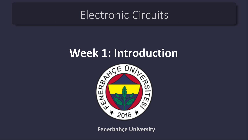## Electronic Circuits



**Fenerbahçe University**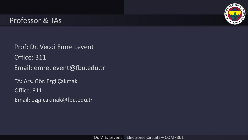

### Professor & TAs

Prof: Dr. Vecdi Emre Levent Office: 311 Email: emre.levent@fbu.edu.tr TA: Arş. Gör. Ezgi Çakmak Office: 311 Email: ezgi.cakmak@fbu.edu.tr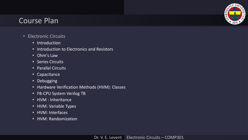

- Electronic Circuits
	- Introduction
	- Introduction to Electronics and Resistors
	- Ohm's Law
	- Series Circuits
	- Parallel Circuits
	- Capacitance
	- Debugging
	- Hardware Verification Methods (HVM): Classes
	- FB-CPU System Verilog TB
	- HVM : Inheritance
	- HVM: Variable Types
	- HVM: Interfaces
	- HVM: Randomization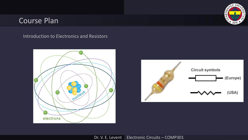#### **ACEUNI** ENER84  $*$  2016

## Course Plan

Introduction to Electronics and Resistors



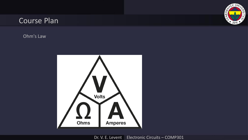

Ohm's Law

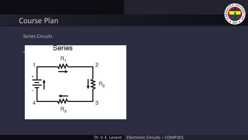

#### Series Circuits

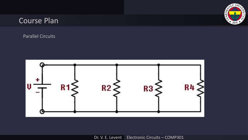

Parallel Circuits

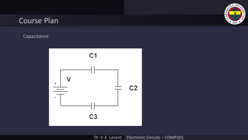

Capacitance

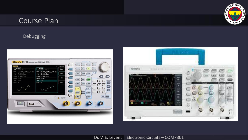

#### Debugging

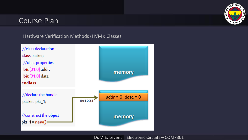

Hardware Verification Methods (HVM): Classes

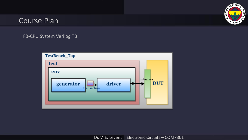

#### FB-CPU System Verilog TB

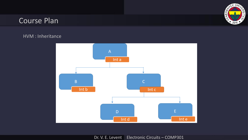

#### HVM : Inheritance

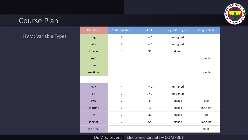

HVM: Variable Types

| Data-type | 2-state/4-state | # Bits | signed/unsigned | C equivalent |
|-----------|-----------------|--------|-----------------|--------------|
| reg       | $\overline{4}$  | $>= 1$ | unsigned        |              |
| wire      | 4               | $>= 1$ | unsigned        |              |
| integer   | $\overline{4}$  | 32     | signed          |              |
| real      |                 |        |                 | double       |
| time      |                 |        |                 |              |
| realtime  |                 |        |                 | double       |
|           |                 |        |                 |              |
| logic     | 4               | $>= 1$ | unsigned        |              |
| bit       | $\overline{2}$  | $>= 1$ | unsigned        |              |
| byte      | $\overline{2}$  | 8      | signed          | char         |
| shortint  | $\overline{2}$  | 16     | signed          | short int    |

32

64

signed

signed

int

long int

float

#### Dr. V. E. Levent Electronic Circuits – COMP301

 $\mathsf{2}\,$ 

 $\overline{2}$ 

int

longint

shortreal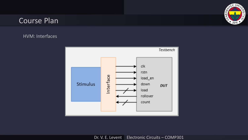

#### HVM: Interfaces

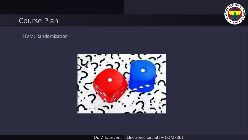

HVM: Randomization

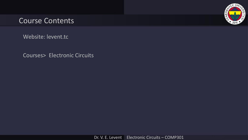

Website: levent.tc

Courses> Electronic Circuits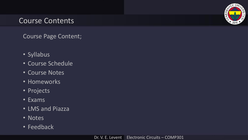

Course Page Content;

- Syllabus
- Course Schedule
- Course Notes
- Homeworks
- Projects
- Exams
- LMS and Piazza
- Notes
- Feedback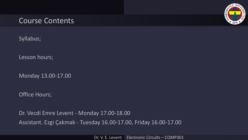

Syllabus;

Lesson hours;

Monday 13.00-17.00

Office Hours;

Dr. Vecdi Emre Levent - Monday 17.00-18.00 Assistant. Ezgi Çakmak - Tuesday 16.00-17.00, Friday 16.00-17.00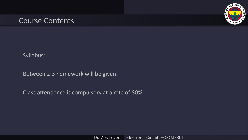

Syllabus;

Between 2-3 homework will be given.

Class attendance is compulsory at a rate of 80%.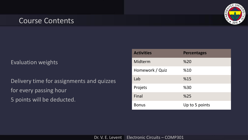

#### Evaluation weights

Delivery time for assignments and quizzes for every passing hour 5 points will be deducted.

| <b>Activities</b> | <b>Percentages</b> |
|-------------------|--------------------|
| Midterm           | %20                |
| Homework / Quiz   | %10                |
| Lab               | %15                |
| Projets           | %30                |
| Final             | %25                |
| <b>Bonus</b>      | Up to 5 points     |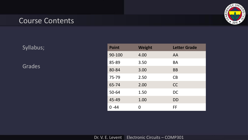

Syllabus;

Grades

| <b>Point</b> | <b>Weight</b> | <b>Letter Grade</b> |
|--------------|---------------|---------------------|
| 90-100       | 4.00          | AA                  |
| 85-89        | 3.50          | <b>BA</b>           |
| 80-84        | 3.00          | <b>BB</b>           |
| 75-79        | 2.50          | CB                  |
| 65-74        | 2.00          | <b>CC</b>           |
| 50-64        | 1.50          | <b>DC</b>           |
| 45-49        | 1.00          | DD                  |
| $0 - 44$     | O             | FF                  |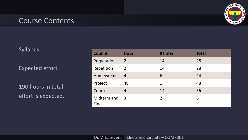# ENER84

## Course Contents

Syllabus;

Expected effort

190 hours in total effort is expected.

| <b>Counnt</b>         | <b>Hour</b>    | #Times         | <b>Total</b> |
|-----------------------|----------------|----------------|--------------|
| Preparation           | $\overline{2}$ | 14             | 28           |
| Repetition            | 2              | 14             | 28           |
| <b>Homeworks</b>      | $\overline{4}$ | 6              | 24           |
| Project               | 48             | 1              | 48           |
| Course                | 4              | 14             | 56           |
| Midterm and<br>Finals | 3              | $\overline{2}$ | 6            |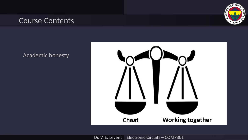

#### Academic honesty

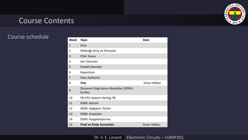

#### Course schedule

| <b>Week</b>    | <b>Topic</b>                                   | <b>Date</b>   |
|----------------|------------------------------------------------|---------------|
| $\mathbf{1}$   | Giriş                                          |               |
| $\overline{2}$ | Elektriğe Giriş ve Dirençler                   |               |
| 3              | Ohm Yasası                                     |               |
| 4              | Seri Devreler                                  |               |
| 5              | <b>Paralel Devreler</b>                        |               |
| 6              | Kapasitans                                     |               |
| 7              | Hata Ayıklama                                  |               |
| 8              | <b>Vize</b>                                    | Sinav Haftası |
| 9              | Donanım Doğrulama Metodları (DDM):<br>Siniflar |               |
| 10             | FB-CPU System Verilog TB                       |               |
| 11             | <b>DDM: Kalıtım</b>                            |               |
| 12             | DDM: Değişken Türleri                          |               |
| 13             | DDM: Arayüzler                                 |               |
| 14             | DDM: Rasgeleleştirme                           |               |
| 15             | <b>Final ve Proje Sunumları</b>                | Sinav Haftası |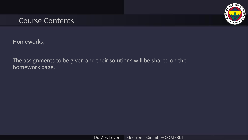

Homeworks;

The assignments to be given and their solutions will be shared on the homework page.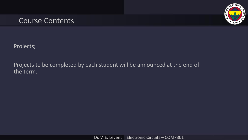

Projects;

Projects to be completed by each student will be announced at the end of the term.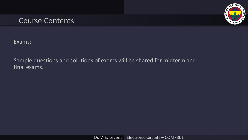

Exams;

Sample questions and solutions of exams will be shared for midterm and final exams.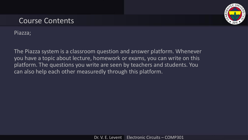

Piazza;

The Piazza system is a classroom question and answer platform. Whenever you have a topic about lecture, homework or exams, you can write on this platform. The questions you write are seen by teachers and students. You can also help each other measuredly through this platform.